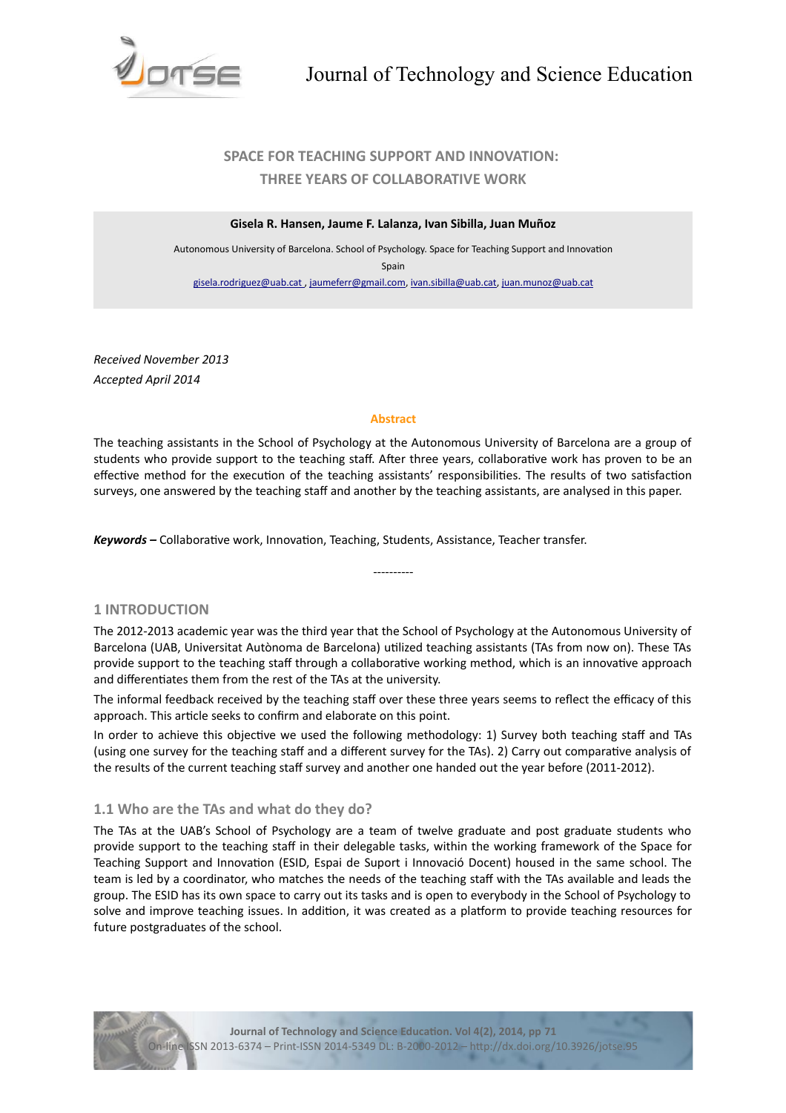

# **SPACE FOR TEACHING SUPPORT AND INNOVATION: THREE YEARS OF COLLABORATIVE WORK**

#### **Gisela R. Hansen, Jaume F. Lalanza, Ivan Sibilla, Juan Muñoz**

Autonomous University of Barcelona. School of Psychology. Space for Teaching Support and Innovaton Spain [gisela.rodriguez@uab.cat ,](mailto:gisela.rodriguez@uab.cat%20) [jaumeferr@gmail.com,](mailto:jaumeferr@gmail.com) [ivan.sibilla@uab.cat,](mailto:ivan.sibilla@uab.cat) [juan.munoz@uab.cat](mailto:juan.munoz@uab.cat)

*Received November 2013 Accepted April 2014*

#### **Abstract**

The teaching assistants in the School of Psychology at the Autonomous University of Barcelona are a group of students who provide support to the teaching staff. After three years, collaborative work has proven to be an effective method for the execution of the teaching assistants' responsibilities. The results of two satisfaction surveys, one answered by the teaching staff and another by the teaching assistants, are analysed in this paper.

*Keywords –* Collaboratve work, Innovaton, Teaching, Students, Assistance, Teacher transfer.

# **1 INTRODUCTION**

The 2012-2013 academic year was the third year that the School of Psychology at the Autonomous University of Barcelona (UAB, Universitat Autònoma de Barcelona) utlized teaching assistants (TAs from now on). These TAs provide support to the teaching staff through a collaborative working method, which is an innovative approach and differentiates them from the rest of the TAs at the university.

----------

The informal feedback received by the teaching staff over these three years seems to reflect the efficacy of this approach. This article seeks to confirm and elaborate on this point.

In order to achieve this objective we used the following methodology: 1) Survey both teaching staff and TAs (using one survey for the teaching staf and a diferent survey for the TAs). 2) Carry out comparatve analysis of the results of the current teaching staff survey and another one handed out the year before (2011-2012).

# **1.1 Who are the TAs and what do they do?**

The TAs at the UAB's School of Psychology are a team of twelve graduate and post graduate students who provide support to the teaching staff in their delegable tasks, within the working framework of the Space for Teaching Support and Innovaton (ESID, Espai de Suport i Innovació Docent) housed in the same school. The team is led by a coordinator, who matches the needs of the teaching staff with the TAs available and leads the group. The ESID has its own space to carry out its tasks and is open to everybody in the School of Psychology to solve and improve teaching issues. In addition, it was created as a platform to provide teaching resources for future postgraduates of the school.

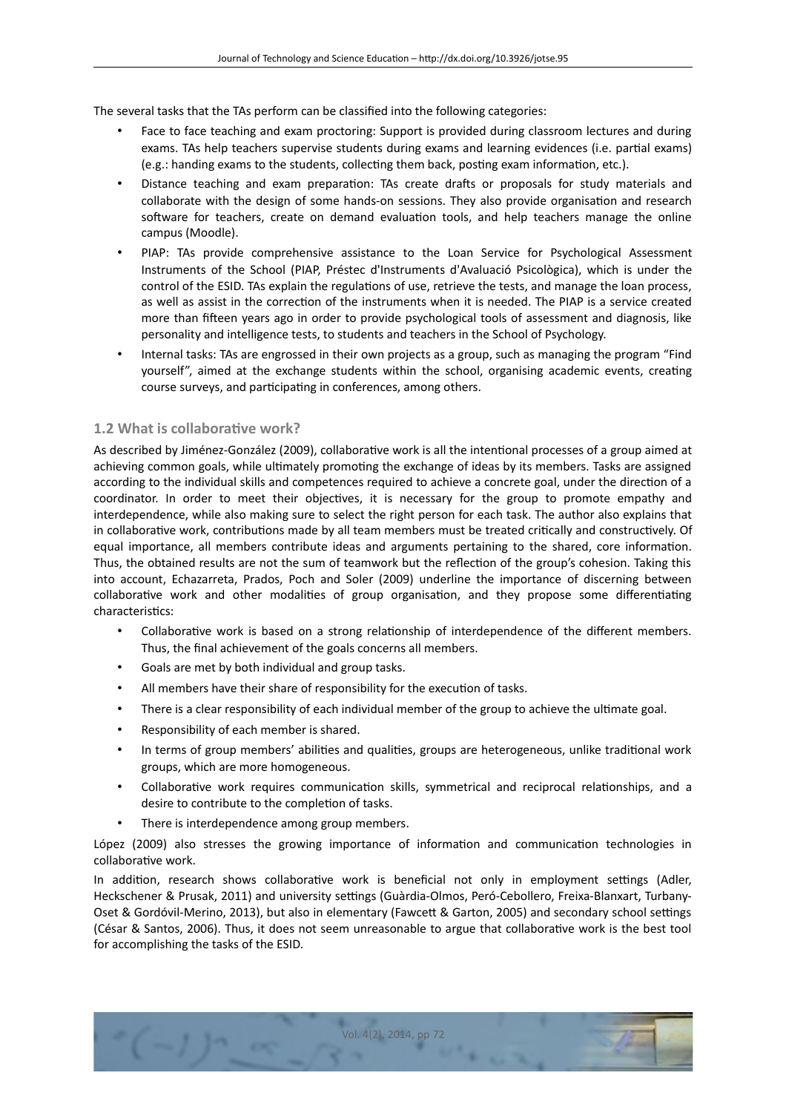The several tasks that the TAs perform can be classifed into the following categories:

- Face to face teaching and exam proctoring: Support is provided during classroom lectures and during exams. TAs help teachers supervise students during exams and learning evidences (i.e. partal exams) (e.g.: handing exams to the students, collecting them back, posting exam information, etc.).
- Distance teaching and exam preparation: TAs create drafts or proposals for study materials and collaborate with the design of some hands-on sessions. They also provide organisation and research software for teachers, create on demand evaluation tools, and help teachers manage the online campus (Moodle).
- PIAP: TAs provide comprehensive assistance to the Loan Service for Psychological Assessment Instruments of the School (PIAP, Préstec d'Instruments d'Avaluació Psicològica), which is under the control of the ESID. TAs explain the regulatons of use, retrieve the tests, and manage the loan process, as well as assist in the correction of the instruments when it is needed. The PIAP is a service created more than ffeen years ago in order to provide psychological tools of assessment and diagnosis, like personality and intelligence tests, to students and teachers in the School of Psychology.
- Internal tasks: TAs are engrossed in their own projects as a group, such as managing the program "Find yourself", aimed at the exchange students within the school, organising academic events, creatng course surveys, and participating in conferences, among others.

# **1.2 What is collaborative work?**

As described by Jiménez-González (2009), collaborative work is all the intentional processes of a group aimed at achieving common goals, while ultimately promoting the exchange of ideas by its members. Tasks are assigned according to the individual skills and competences required to achieve a concrete goal, under the directon of a coordinator. In order to meet their objectives, it is necessary for the group to promote empathy and interdependence, while also making sure to select the right person for each task. The author also explains that in collaboratve work, contributons made by all team members must be treated critcally and constructvely. Of equal importance, all members contribute ideas and arguments pertaining to the shared, core informaton. Thus, the obtained results are not the sum of teamwork but the reflection of the group's cohesion. Taking this into account, Echazarreta, Prados, Poch and Soler (2009) underline the importance of discerning between collaborative work and other modalities of group organisation, and they propose some differentiating characteristics:

- Collaborative work is based on a strong relationship of interdependence of the different members. Thus, the final achievement of the goals concerns all members.
- Goals are met by both individual and group tasks.
- All members have their share of responsibility for the executon of tasks.
- There is a clear responsibility of each individual member of the group to achieve the ultmate goal.
- Responsibility of each member is shared.
- In terms of group members' abilities and qualities, groups are heterogeneous, unlike traditional work groups, which are more homogeneous.
- Collaborative work requires communication skills, symmetrical and reciprocal relationships, and a desire to contribute to the completion of tasks.
- There is interdependence among group members.

López (2009) also stresses the growing importance of information and communication technologies in collaborative work.

In addition, research shows collaborative work is beneficial not only in employment settings (Adler, Heckschener & Prusak, 2011) and university settings (Guàrdia-Olmos, Peró-Cebollero, Freixa-Blanxart, Turbany-Oset & Gordóvil-Merino, 2013), but also in elementary (Fawcett & Garton, 2005) and secondary school settings (César & Santos, 2006). Thus, it does not seem unreasonable to argue that collaboratve work is the best tool for accomplishing the tasks of the ESID.

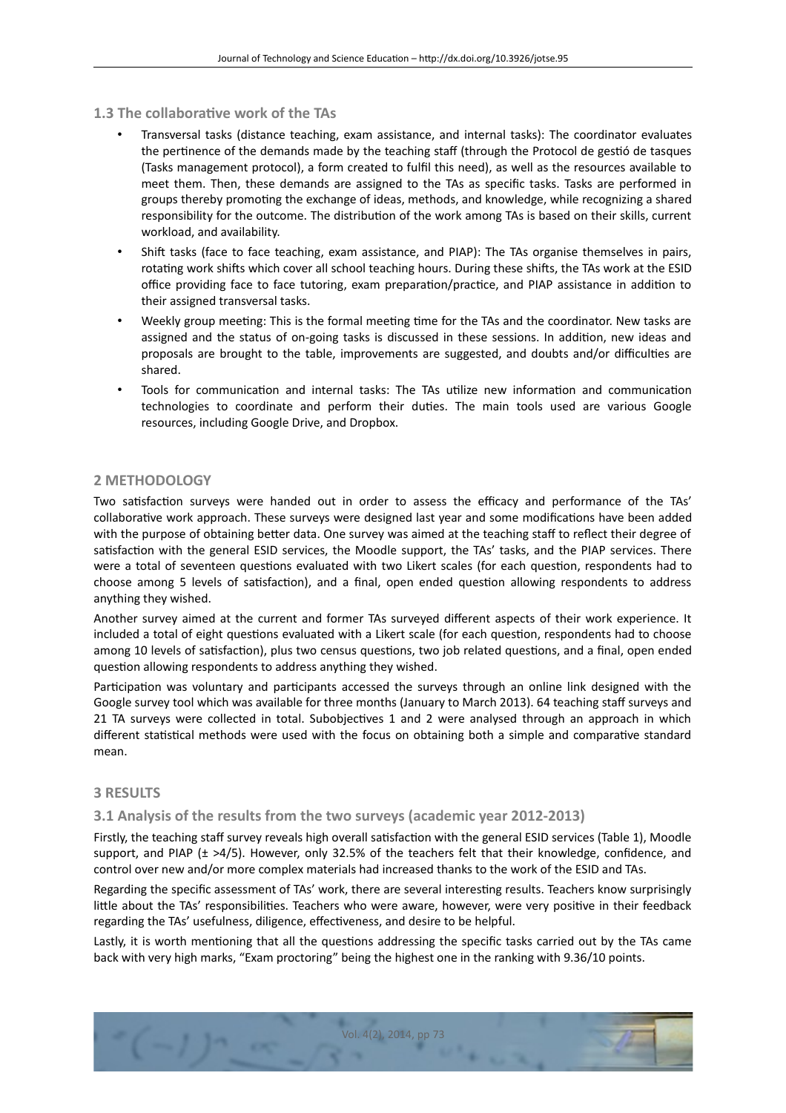- **1.3 The collaboratve work of the TAs**
	- Transversal tasks (distance teaching, exam assistance, and internal tasks): The coordinator evaluates the pertinence of the demands made by the teaching staff (through the Protocol de gestió de tasques (Tasks management protocol), a form created to fulfl this need), as well as the resources available to meet them. Then, these demands are assigned to the TAs as specifc tasks. Tasks are performed in groups thereby promoting the exchange of ideas, methods, and knowledge, while recognizing a shared responsibility for the outcome. The distribution of the work among TAs is based on their skills, current workload, and availability.
	- Shift tasks (face to face teaching, exam assistance, and PIAP): The TAs organise themselves in pairs, rotating work shifts which cover all school teaching hours. During these shifts, the TAs work at the ESID office providing face to face tutoring, exam preparation/practice, and PIAP assistance in addition to their assigned transversal tasks.
	- Weekly group meetng: This is the formal meetng tme for the TAs and the coordinator. New tasks are assigned and the status of on-going tasks is discussed in these sessions. In additon, new ideas and proposals are brought to the table, improvements are suggested, and doubts and/or difficulties are shared.
	- Tools for communication and internal tasks: The TAs utilize new information and communication technologies to coordinate and perform their duties. The main tools used are various Google resources, including Google Drive, and Dropbox.

#### **2 METHODOLOGY**

Two satisfaction surveys were handed out in order to assess the efficacy and performance of the TAs' collaboratve work approach. These surveys were designed last year and some modifcatons have been added with the purpose of obtaining better data. One survey was aimed at the teaching staff to reflect their degree of satisfaction with the general ESID services, the Moodle support, the TAs' tasks, and the PIAP services. There were a total of seventeen questions evaluated with two Likert scales (for each question, respondents had to choose among 5 levels of satisfaction), and a final, open ended question allowing respondents to address anything they wished.

Another survey aimed at the current and former TAs surveyed diferent aspects of their work experience. It included a total of eight questions evaluated with a Likert scale (for each question, respondents had to choose among 10 levels of satisfaction), plus two census questions, two job related questions, and a final, open ended question allowing respondents to address anything they wished.

Participation was voluntary and participants accessed the surveys through an online link designed with the Google survey tool which was available for three months (January to March 2013). 64 teaching staf surveys and 21 TA surveys were collected in total. Subobjectves 1 and 2 were analysed through an approach in which different statistical methods were used with the focus on obtaining both a simple and comparative standard mean.

### **3 RESULTS**

#### **3.1 Analysis of the results from the two surveys (academic year 2012-2013)**

Firstly, the teaching staff survey reveals high overall satisfaction with the general ESID services (Table 1), Moodle support, and PIAP ( $\pm$  >4/5). However, only 32.5% of the teachers felt that their knowledge, confidence, and control over new and/or more complex materials had increased thanks to the work of the ESID and TAs.

Regarding the specifc assessment of TAs' work, there are several interestng results. Teachers know surprisingly litle about the TAs' responsibilites. Teachers who were aware, however, were very positve in their feedback regarding the TAs' usefulness, diligence, effectiveness, and desire to be helpful.

Lastly, it is worth mentioning that all the questions addressing the specific tasks carried out by the TAs came back with very high marks, "Exam proctoring" being the highest one in the ranking with 9.36/10 points.

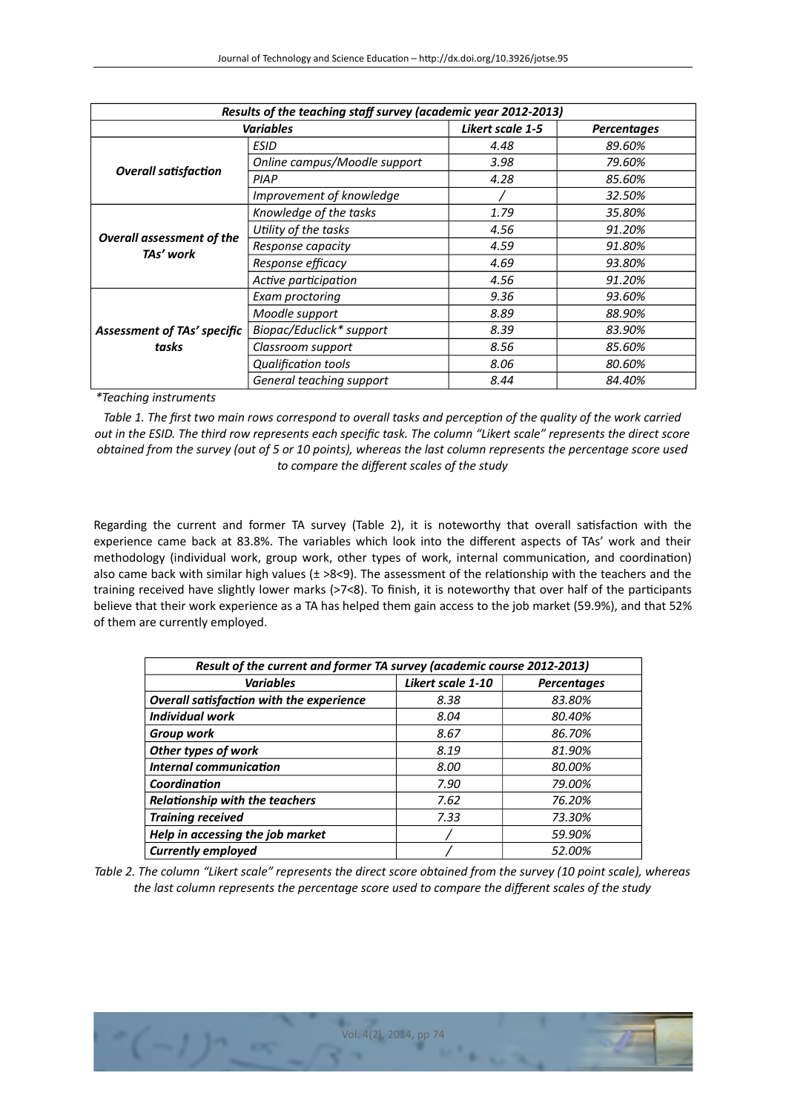| Results of the teaching staff survey (academic year 2012-2013) |                              |                         |                    |  |
|----------------------------------------------------------------|------------------------------|-------------------------|--------------------|--|
| <b>Variables</b>                                               |                              | <b>Likert scale 1-5</b> | <b>Percentages</b> |  |
| <b>Overall satisfaction</b>                                    | ESID                         | 4.48                    | 89.60%             |  |
|                                                                | Online campus/Moodle support | 3.98                    | 79.60%             |  |
|                                                                | PIAP                         | 4.28                    | 85.60%             |  |
|                                                                | Improvement of knowledge     |                         | 32.50%             |  |
| <b>Overall assessment of the</b><br>TAs' work                  | Knowledge of the tasks       | 1.79                    | 35.80%             |  |
|                                                                | Utility of the tasks         | 4.56                    | 91.20%             |  |
|                                                                | Response capacity            | 4.59                    | 91.80%             |  |
|                                                                | Response efficacy            | 4.69                    | 93.80%             |  |
|                                                                | Active participation         | 4.56                    | 91.20%             |  |
| <b>Assessment of TAs' specific</b><br>tasks                    | Exam proctoring              | 9.36                    | 93.60%             |  |
|                                                                | Moodle support               | 8.89                    | 88.90%             |  |
|                                                                | Biopac/Educlick* support     | 8.39                    | 83.90%             |  |
|                                                                | Classroom support            | 8.56                    | 85.60%             |  |
|                                                                | Qualification tools          | 8.06                    | 80.60%             |  |
|                                                                | General teaching support     | 8.44                    | 84.40%             |  |

*\*Teaching instruments*

*Table 1. The frst two main rows correspond to overall tasks and percepton of the quality of the work carried out in the ESID. The third row represents each specifc task. The column "Likert scale" represents the direct score obtained from the survey (out of 5 or 10 points), whereas the last column represents the percentage score used to compare the diferent scales of the study*

Regarding the current and former TA survey (Table 2), it is noteworthy that overall satsfacton with the experience came back at 83.8%. The variables which look into the diferent aspects of TAs' work and their methodology (individual work, group work, other types of work, internal communication, and coordination) also came back with similar high values  $(\pm >8< 9)$ . The assessment of the relationship with the teachers and the training received have slightly lower marks (>7<8). To fnish, it is noteworthy that over half of the partcipants believe that their work experience as a TA has helped them gain access to the job market (59.9%), and that 52% of them are currently employed.

| Result of the current and former TA survey (academic course 2012-2013) |                          |                    |  |  |
|------------------------------------------------------------------------|--------------------------|--------------------|--|--|
| <b>Variables</b>                                                       | <b>Likert scale 1-10</b> | <b>Percentages</b> |  |  |
| Overall satisfaction with the experience                               | 8.38                     | 83.80%             |  |  |
| <b>Individual work</b>                                                 | 8.04                     | 80.40%             |  |  |
| <b>Group work</b>                                                      | 8.67                     | 86.70%             |  |  |
| Other types of work                                                    | 8.19                     | 81.90%             |  |  |
| <b>Internal communication</b>                                          | 8.00                     | 80.00%             |  |  |
| Coordination                                                           | 7.90                     | 79.00%             |  |  |
| <b>Relationship with the teachers</b>                                  | 7.62                     | 76.20%             |  |  |
| <b>Training received</b>                                               | 7.33                     | 73.30%             |  |  |
| Help in accessing the job market                                       |                          | 59.90%             |  |  |
| <b>Currently employed</b>                                              |                          | 52.00%             |  |  |

*Table 2. The column "Likert scale" represents the direct score obtained from the survey (10 point scale), whereas the last column represents the percentage score used to compare the diferent scales of the study*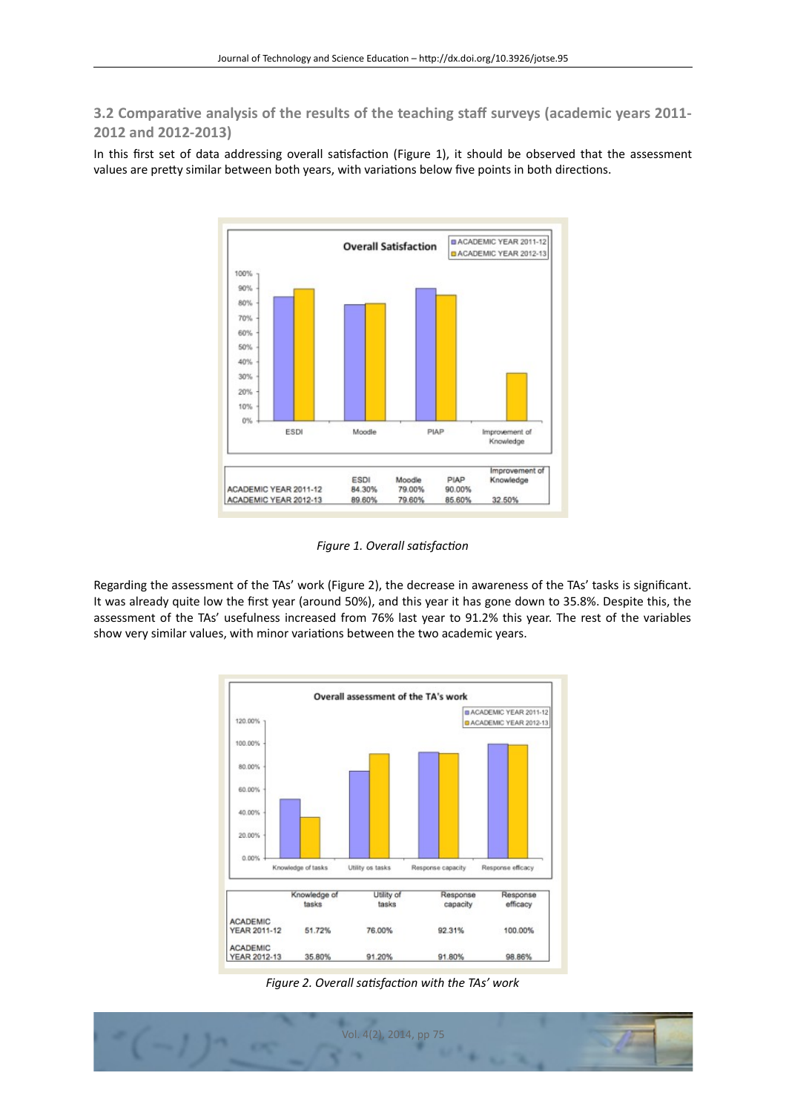**3.2 Comparative analysis of the results of the teaching staff surveys (academic years 2011-2012 and 2012-2013)**

In this first set of data addressing overall satisfaction (Figure 1), it should be observed that the assessment values are pretty similar between both years, with variations below five points in both directions.



*Figure 1. Overall satsfacton*

Regarding the assessment of the TAs' work (Figure 2), the decrease in awareness of the TAs' tasks is signifcant. It was already quite low the frst year (around 50%), and this year it has gone down to 35.8%. Despite this, the assessment of the TAs' usefulness increased from 76% last year to 91.2% this year. The rest of the variables show very similar values, with minor variations between the two academic years.



*Figure 2. Overall satsfacton with the TAs' work*

![](_page_4_Picture_8.jpeg)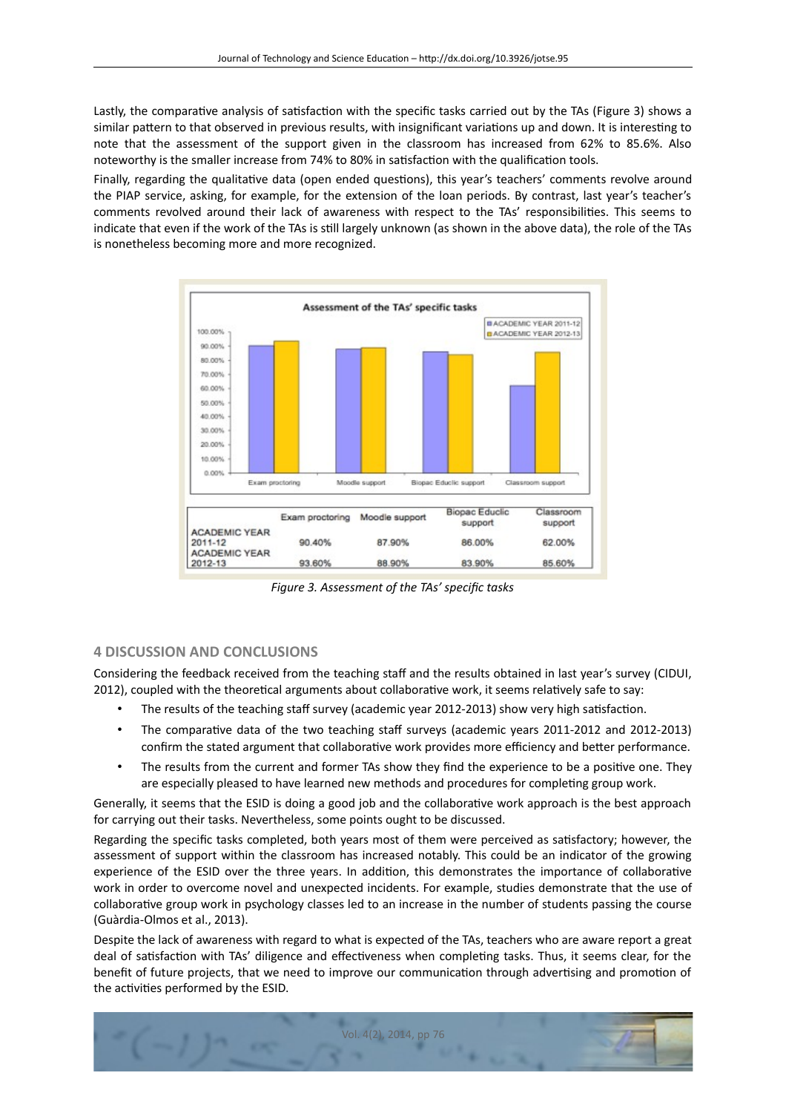Lastly, the comparative analysis of satisfaction with the specific tasks carried out by the TAs (Figure 3) shows a similar pattern to that observed in previous results, with insignificant variations up and down. It is interesting to note that the assessment of the support given in the classroom has increased from 62% to 85.6%. Also noteworthy is the smaller increase from 74% to 80% in satisfaction with the qualification tools.

Finally, regarding the qualitatve data (open ended questons), this year's teachers' comments revolve around the PIAP service, asking, for example, for the extension of the loan periods. By contrast, last year's teacher's comments revolved around their lack of awareness with respect to the TAs' responsibilites. This seems to indicate that even if the work of the TAs is stll largely unknown (as shown in the above data), the role of the TAs is nonetheless becoming more and more recognized.

![](_page_5_Figure_3.jpeg)

*Figure 3. Assessment of the TAs' specifc tasks*

### **4 DISCUSSION AND CONCLUSIONS**

Considering the feedback received from the teaching staff and the results obtained in last year's survey (CIDUI, 2012), coupled with the theoretical arguments about collaborative work, it seems relatively safe to say:

- The results of the teaching staff survey (academic year 2012-2013) show very high satisfaction.
- The comparative data of the two teaching staff surveys (academic years 2011-2012 and 2012-2013) confirm the stated argument that collaborative work provides more efficiency and better performance.
- The results from the current and former TAs show they fnd the experience to be a positve one. They are especially pleased to have learned new methods and procedures for completing group work.

Generally, it seems that the ESID is doing a good job and the collaboratve work approach is the best approach for carrying out their tasks. Nevertheless, some points ought to be discussed.

Regarding the specifc tasks completed, both years most of them were perceived as satsfactory; however, the assessment of support within the classroom has increased notably. This could be an indicator of the growing experience of the ESID over the three years. In addition, this demonstrates the importance of collaborative work in order to overcome novel and unexpected incidents. For example, studies demonstrate that the use of collaboratve group work in psychology classes led to an increase in the number of students passing the course (Guàrdia-Olmos et al., 2013).

Despite the lack of awareness with regard to what is expected of the TAs, teachers who are aware report a great deal of satisfaction with TAs' diligence and effectiveness when completing tasks. Thus, it seems clear, for the benefit of future projects, that we need to improve our communication through advertising and promotion of the activities performed by the ESID.

![](_page_5_Picture_13.jpeg)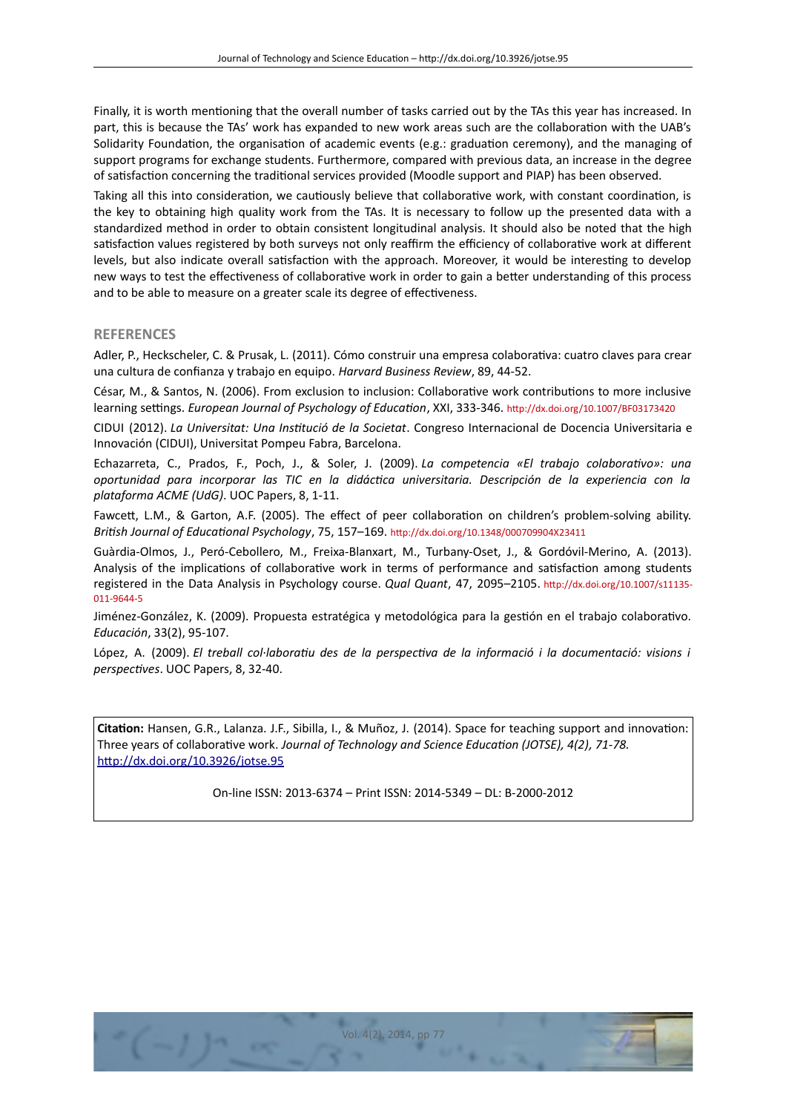Finally, it is worth mentoning that the overall number of tasks carried out by the TAs this year has increased. In part, this is because the TAs' work has expanded to new work areas such are the collaboration with the UAB's Solidarity Foundation, the organisation of academic events (e.g.: graduation ceremony), and the managing of support programs for exchange students. Furthermore, compared with previous data, an increase in the degree of satisfaction concerning the traditional services provided (Moodle support and PIAP) has been observed.

Taking all this into consideration, we cautiously believe that collaborative work, with constant coordination, is the key to obtaining high quality work from the TAs. It is necessary to follow up the presented data with a standardized method in order to obtain consistent longitudinal analysis. It should also be noted that the high satisfaction values registered by both surveys not only reaffirm the efficiency of collaborative work at different levels, but also indicate overall satisfaction with the approach. Moreover, it would be interesting to develop new ways to test the efectveness of collaboratve work in order to gain a beter understanding of this process and to be able to measure on a greater scale its degree of effectiveness.

#### **REFERENCES**

Adler, P., Heckscheler, C. & Prusak, L. (2011). Cómo construir una empresa colaboratva: cuatro claves para crear una cultura de confanza y trabajo en equipo. *Harvard Business Review*, 89, 44-52.

César, M., & Santos, N. (2006). From exclusion to inclusion: Collaboratve work contributons to more inclusive learning settings. *European Journal of Psychology of Education*, XXI, 333-346. http://dx.doi.org/10.1007/BF03173420

CIDUI (2012). *La Universitat: Una Insttució de la Societat*. Congreso Internacional de Docencia Universitaria e Innovación (CIDUI), Universitat Pompeu Fabra, Barcelona.

Echazarreta, C., Prados, F., Poch, J., & Soler, J. (2009). *La competencia «El trabajo colaboratvo»: una oportunidad para incorporar las TIC en la didáctca universitaria. Descripción de la experiencia con la plataforma ACME (UdG)*. UOC Papers, 8, 1-11.

Fawcett, L.M., & Garton, A.F. (2005). The effect of peer collaboration on children's problem-solving ability. *Britsh Journal of Educatonal Psychology*, 75, 157–169. htp://dx.doi.org/10.1348/000709904X23411

Guàrdia-Olmos, J., Peró-Cebollero, M., Freixa-Blanxart, M., Turbany-Oset, J., & Gordóvil-Merino, A. (2013). Analysis of the implications of collaborative work in terms of performance and satisfaction among students registered in the Data Analysis in Psychology course. *Qual Quant*, 47, 2095–2105. htp://dx.doi.org/10.1007/s11135- 011-9644-5

Jiménez-González, K. (2009). Propuesta estratégica y metodológica para la gestón en el trabajo colaboratvo. *Educación*, 33(2), 95-107.

López, A. (2009). *El treball col·laboratu des de la perspectva de la informació i la documentació: visions i perspectves*. UOC Papers, 8, 32-40.

**Citaton:** Hansen, G.R., Lalanza. J.F., Sibilla, I., & Muñoz, J. (2014). Space for teaching support and innovaton: Three years of collaboratve work. *Journal of Technology and Science Educaton (JOTSE), 4(2), 71-78.* [htp://dx.doi.org/10.3926/jotse.95](http://dx.doi.org/10.3926/jotse.95)

On-line ISSN: 2013-6374 – Print ISSN: 2014-5349 – DL: B-2000-2012

![](_page_6_Picture_14.jpeg)